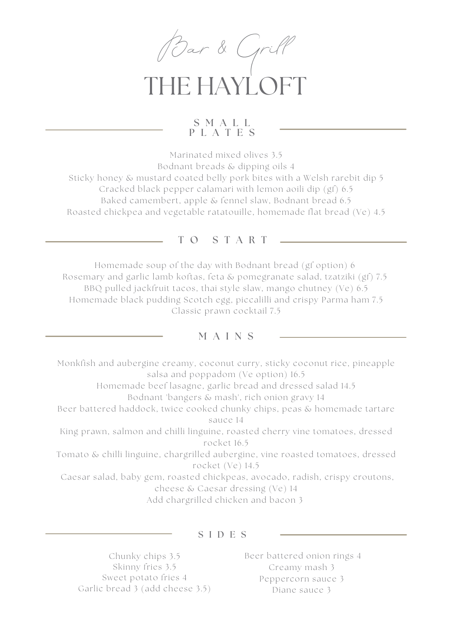

# THE HAYL C

### S M A L L P L A T E S

Marinated mixed olives 3.5 Bodnant breads & dipping oils 4 Sticky honey & mustard coated belly pork bites with a Welsh rarebit dip 5 Cracked black pepper calamari with lemon aoili dip (gf) 6.5 Baked camembert, apple & fennel slaw, Bodnant bread 6.5 Roasted chickpea and vegetable ratatouille, homemade flat bread (Ve) 4.5

### T O S T A R T

Homemade soup of the day with Bodnant bread (gf option) 6 Rosemary and garlic lamb koftas, feta & pomegranate salad, tzatziki (gf) 7.5 BBQ pulled jackfruit tacos, thai style slaw, mango chutney (Ve) 6.5 Homemade black pudding Scotch egg, piccalilli and crispy Parma ham 7.5 Classic prawn cocktail 7.5

## M A I N S

Monkfish and aubergine creamy, coconut curry, sticky coconut rice, pineapple salsa and poppadom (Ve option) 16.5 Homemade beef lasagne, garlic bread and dressed salad 14.5 Bodnant 'bangers & mash', rich onion gravy 14 Beer battered haddock, twice cooked chunky chips, peas & homemade tartare sauce 14 King prawn, salmon and chilli linguine, roasted cherry vine tomatoes, dressed rocket 16.5 Tomato & chilli linguine, chargrilled aubergine, vine roasted tomatoes, dressed rocket (Ve) 14.5 Caesar salad, baby gem, roasted chickpeas, avocado, radish, crispy croutons, cheese & Caesar dressing (Ve) 14 Add chargrilled chicken and bacon 3

#### S I D E S

Chunky chips 3.5 Skinny fries 3.5 Sweet potato fries 4 Garlic bread 3 (add cheese 3.5) Beer battered onion rings 4 Creamy mash 3 Peppercorn sauce 3 Diane sauce 3